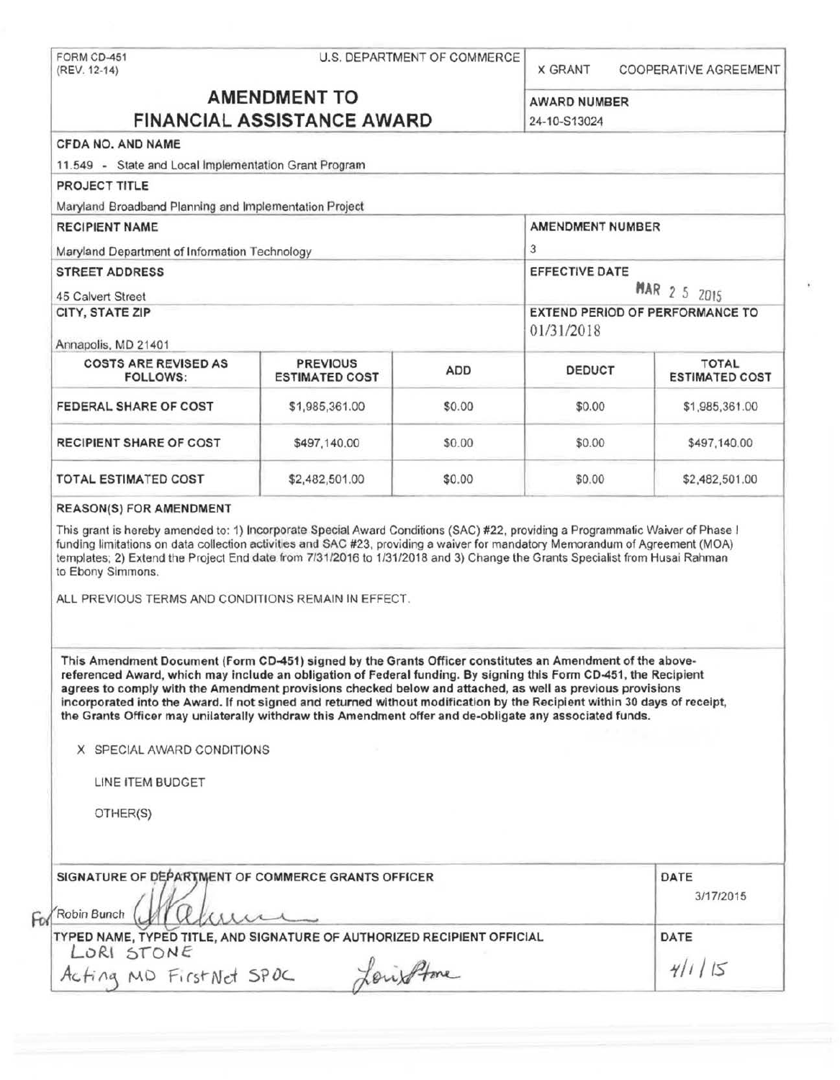|                                                                                                                                                                                                                                                                                                                                                                                                                                                                                                                                                                                   |                                          | U.S. DEPARTMENT OF COMMERCE | <b>X GRANT</b>          | COOPERATIVE AGREEMENT                 |
|-----------------------------------------------------------------------------------------------------------------------------------------------------------------------------------------------------------------------------------------------------------------------------------------------------------------------------------------------------------------------------------------------------------------------------------------------------------------------------------------------------------------------------------------------------------------------------------|------------------------------------------|-----------------------------|-------------------------|---------------------------------------|
| <b>AMENDMENT TO</b><br><b>FINANCIAL ASSISTANCE AWARD</b>                                                                                                                                                                                                                                                                                                                                                                                                                                                                                                                          |                                          |                             | <b>AWARD NUMBER</b>     |                                       |
|                                                                                                                                                                                                                                                                                                                                                                                                                                                                                                                                                                                   |                                          |                             | 24-10-S13024            |                                       |
| CFDA NO. AND NAME                                                                                                                                                                                                                                                                                                                                                                                                                                                                                                                                                                 |                                          |                             |                         |                                       |
| 11.549 - State and Local Implementation Grant Program                                                                                                                                                                                                                                                                                                                                                                                                                                                                                                                             |                                          |                             |                         |                                       |
| <b>PROJECT TITLE</b>                                                                                                                                                                                                                                                                                                                                                                                                                                                                                                                                                              |                                          |                             |                         |                                       |
| Maryland Broadband Planning and Implementation Project                                                                                                                                                                                                                                                                                                                                                                                                                                                                                                                            |                                          |                             |                         |                                       |
| <b>RECIPIENT NAME</b>                                                                                                                                                                                                                                                                                                                                                                                                                                                                                                                                                             |                                          |                             | <b>AMENDMENT NUMBER</b> |                                       |
| Maryland Department of Information Technology                                                                                                                                                                                                                                                                                                                                                                                                                                                                                                                                     |                                          |                             | 3                       |                                       |
| <b>STREET ADDRESS</b>                                                                                                                                                                                                                                                                                                                                                                                                                                                                                                                                                             |                                          |                             | EFFECTIVE DATE          |                                       |
|                                                                                                                                                                                                                                                                                                                                                                                                                                                                                                                                                                                   |                                          |                             |                         | <b>MAR 2 5 2015</b>                   |
| 45 Calvert Street<br><b>CITY, STATE ZIP</b>                                                                                                                                                                                                                                                                                                                                                                                                                                                                                                                                       |                                          |                             |                         | EXTEND PERIOD OF PERFORMANCE TO       |
|                                                                                                                                                                                                                                                                                                                                                                                                                                                                                                                                                                                   |                                          |                             | 01/31/2018              |                                       |
| Annapolis, MD 21401                                                                                                                                                                                                                                                                                                                                                                                                                                                                                                                                                               |                                          |                             |                         |                                       |
| <b>COSTS ARE REVISED AS</b><br><b>FOLLOWS:</b>                                                                                                                                                                                                                                                                                                                                                                                                                                                                                                                                    | <b>PREVIOUS</b><br><b>ESTIMATED COST</b> | <b>ADD</b>                  | <b>DEDUCT</b>           | <b>TOTAL</b><br><b>ESTIMATED COST</b> |
| FEDERAL SHARE OF COST                                                                                                                                                                                                                                                                                                                                                                                                                                                                                                                                                             | \$1,985,361.00                           | \$0.00                      | \$0.00                  | \$1,985,361.00                        |
| <b>RECIPIENT SHARE OF COST</b>                                                                                                                                                                                                                                                                                                                                                                                                                                                                                                                                                    | \$497,140.00                             | \$0.00                      | \$0.00                  | \$497,140.00                          |
| <b>TOTAL ESTIMATED COST</b>                                                                                                                                                                                                                                                                                                                                                                                                                                                                                                                                                       | \$2,482,501.00                           | \$0.00                      | \$0.00                  | \$2,482,501.00                        |
|                                                                                                                                                                                                                                                                                                                                                                                                                                                                                                                                                                                   |                                          |                             |                         |                                       |
| ALL PREVIOUS TERMS AND CONDITIONS REMAIN IN EFFECT.                                                                                                                                                                                                                                                                                                                                                                                                                                                                                                                               |                                          |                             |                         |                                       |
| This Amendment Document (Form CD-451) signed by the Grants Officer constitutes an Amendment of the above-<br>referenced Award, which may include an obligation of Federal funding. By signing this Form CD-451, the Recipient<br>agrees to comply with the Amendment provisions checked below and attached, as well as previous provisions<br>incorporated into the Award. If not signed and returned without modification by the Recipient within 30 days of receipt,<br>the Grants Officer may unilaterally withdraw this Amendment offer and de-obligate any associated funds. |                                          |                             |                         |                                       |
| X SPECIAL AWARD CONDITIONS                                                                                                                                                                                                                                                                                                                                                                                                                                                                                                                                                        |                                          |                             |                         |                                       |
| <b>REASON(S) FOR AMENDMENT</b><br>This grant is hereby amended to: 1) Incorporate Special Award Conditions (SAC) #22, providing a Programmatic Waiver of Phase I<br>funding limitations on data collection activities and SAC #23, providing a waiver for mandatory Memorandum of Agreement (MOA)<br>templates; 2) Extend the Project End date from 7/31/2016 to 1/31/2018 and 3) Change the Grants Specialist from Husai Rahman<br>to Ebony Simmons.<br>LINE ITEM BUDGET                                                                                                         |                                          |                             |                         |                                       |
| OTHER(S)                                                                                                                                                                                                                                                                                                                                                                                                                                                                                                                                                                          |                                          |                             |                         |                                       |
|                                                                                                                                                                                                                                                                                                                                                                                                                                                                                                                                                                                   |                                          |                             |                         |                                       |
| SIGNATURE OF DEPARTMENT OF COMMERCE GRANTS OFFICER                                                                                                                                                                                                                                                                                                                                                                                                                                                                                                                                |                                          |                             |                         | DATE<br>3/17/2015                     |
| Robin Bunch<br>TYPED NAME, TYPED TITLE, AND SIGNATURE OF AUTHORIZED RECIPIENT OFFICIAL                                                                                                                                                                                                                                                                                                                                                                                                                                                                                            |                                          |                             |                         | DATE                                  |
| LORI STONE<br>Acting MD FirstNet SPOC                                                                                                                                                                                                                                                                                                                                                                                                                                                                                                                                             |                                          | Louisflore                  |                         | 4/1/5                                 |